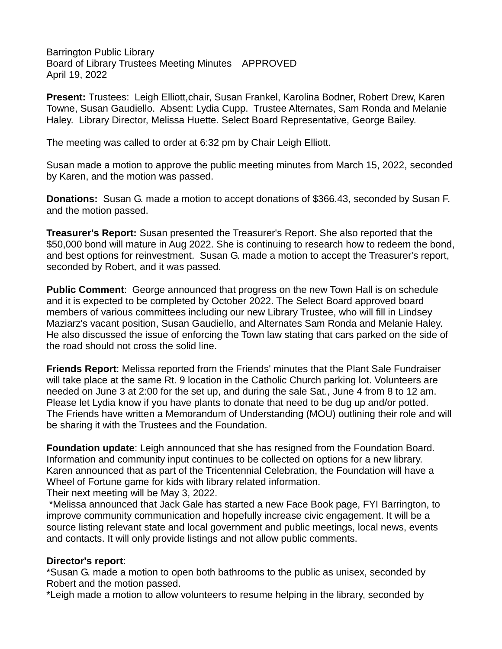Barrington Public Library Board of Library Trustees Meeting Minutes APPROVED April 19, 2022

**Present:** Trustees: Leigh Elliott,chair, Susan Frankel, Karolina Bodner, Robert Drew, Karen Towne, Susan Gaudiello. Absent: Lydia Cupp. Trustee Alternates, Sam Ronda and Melanie Haley. Library Director, Melissa Huette. Select Board Representative, George Bailey.

The meeting was called to order at 6:32 pm by Chair Leigh Elliott.

Susan made a motion to approve the public meeting minutes from March 15, 2022, seconded by Karen, and the motion was passed.

**Donations:** Susan G. made a motion to accept donations of \$366.43, seconded by Susan F. and the motion passed.

**Treasurer's Report:** Susan presented the Treasurer's Report. She also reported that the \$50,000 bond will mature in Aug 2022. She is continuing to research how to redeem the bond, and best options for reinvestment. Susan G. made a motion to accept the Treasurer's report, seconded by Robert, and it was passed.

**Public Comment**: George announced that progress on the new Town Hall is on schedule and it is expected to be completed by October 2022. The Select Board approved board members of various committees including our new Library Trustee, who will fill in Lindsey Maziarz's vacant position, Susan Gaudiello, and Alternates Sam Ronda and Melanie Haley. He also discussed the issue of enforcing the Town law stating that cars parked on the side of the road should not cross the solid line.

**Friends Report**: Melissa reported from the Friends' minutes that the Plant Sale Fundraiser will take place at the same Rt. 9 location in the Catholic Church parking lot. Volunteers are needed on June 3 at 2:00 for the set up, and during the sale Sat., June 4 from 8 to 12 am. Please let Lydia know if you have plants to donate that need to be dug up and/or potted. The Friends have written a Memorandum of Understanding (MOU) outlining their role and will be sharing it with the Trustees and the Foundation.

**Foundation update**: Leigh announced that she has resigned from the Foundation Board. Information and community input continues to be collected on options for a new library. Karen announced that as part of the Tricentennial Celebration, the Foundation will have a Wheel of Fortune game for kids with library related information.

Their next meeting will be May 3, 2022.

\*Melissa announced that Jack Gale has started a new Face Book page, FYI Barrington, to improve community communication and hopefully increase civic engagement. It will be a source listing relevant state and local government and public meetings, local news, events and contacts. It will only provide listings and not allow public comments.

## **Director's report**:

\*Susan G. made a motion to open both bathrooms to the public as unisex, seconded by Robert and the motion passed.

\*Leigh made a motion to allow volunteers to resume helping in the library, seconded by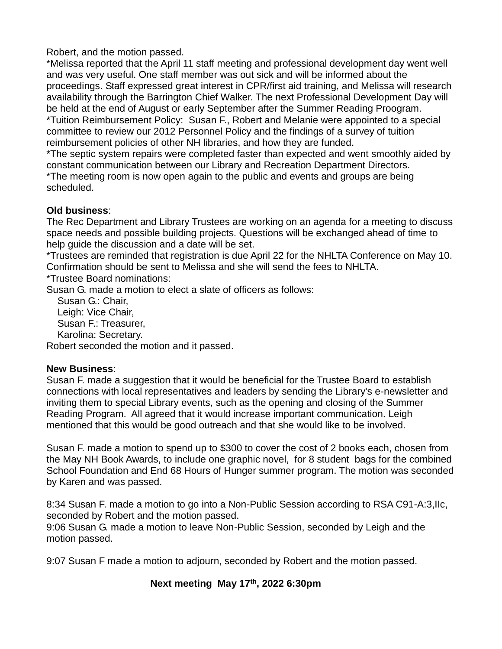Robert, and the motion passed.

\*Melissa reported that the April 11 staff meeting and professional development day went well and was very useful. One staff member was out sick and will be informed about the proceedings. Staff expressed great interest in CPR/first aid training, and Melissa will research availability through the Barrington Chief Walker. The next Professional Development Day will be held at the end of August or early September after the Summer Reading Proogram. \*Tuition Reimbursement Policy: Susan F., Robert and Melanie were appointed to a special committee to review our 2012 Personnel Policy and the findings of a survey of tuition reimbursement policies of other NH libraries, and how they are funded.

\*The septic system repairs were completed faster than expected and went smoothly aided by constant communication between our Library and Recreation Department Directors.

\*The meeting room is now open again to the public and events and groups are being scheduled.

## **Old business**:

The Rec Department and Library Trustees are working on an agenda for a meeting to discuss space needs and possible building projects. Questions will be exchanged ahead of time to help guide the discussion and a date will be set.

\*Trustees are reminded that registration is due April 22 for the NHLTA Conference on May 10. Confirmation should be sent to Melissa and she will send the fees to NHLTA.

\*Trustee Board nominations:

Susan G. made a motion to elect a slate of officers as follows:

 Susan G.: Chair, Leigh: Vice Chair, Susan F.: Treasurer, Karolina: Secretary.

Robert seconded the motion and it passed.

## **New Business**:

Susan F. made a suggestion that it would be beneficial for the Trustee Board to establish connections with local representatives and leaders by sending the Library's e-newsletter and inviting them to special Library events, such as the opening and closing of the Summer Reading Program. All agreed that it would increase important communication. Leigh mentioned that this would be good outreach and that she would like to be involved.

Susan F. made a motion to spend up to \$300 to cover the cost of 2 books each, chosen from the May NH Book Awards, to include one graphic novel, for 8 student bags for the combined School Foundation and End 68 Hours of Hunger summer program. The motion was seconded by Karen and was passed.

8:34 Susan F. made a motion to go into a Non-Public Session according to RSA C91-A:3,IIc, seconded by Robert and the motion passed.

9:06 Susan G. made a motion to leave Non-Public Session, seconded by Leigh and the motion passed.

9:07 Susan F made a motion to adjourn, seconded by Robert and the motion passed.

## **Next meeting May 17th, 2022 6:30pm**